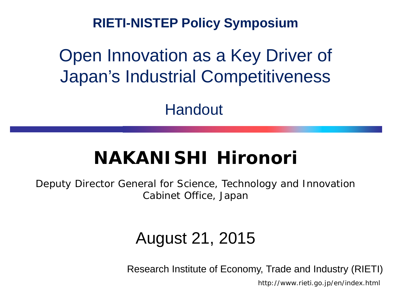**RIETI-NISTEP Policy Symposium**

### Open Innovation as a Key Driver of Japan's Industrial Competitiveness

Handout

### **NAKANISHI Hironori**

Deputy Director General for Science, Technology and Innovation Cabinet Office, Japan

#### August 21, 2015

Research Institute of Economy, Trade and Industry (RIETI)

http://www.rieti.go.jp/en/index.html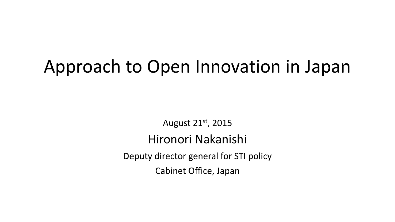# Approach to Open Innovation in Japan

August 21st, 2015 Hironori Nakanishi Deputy director general for STI policy Cabinet Office, Japan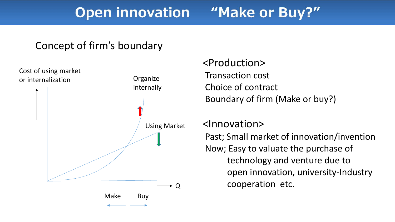#### "Make or Buy?" **Open innovation**

#### Concept of firm's boundary



#### <Production> Transaction cost Choice of contract Boundary of firm (Make or buy?)

#### <Innovation>

Past; Small market of innovation/invention Now; Easy to valuate the purchase of technology and venture due to open innovation, university-Industry cooperation etc.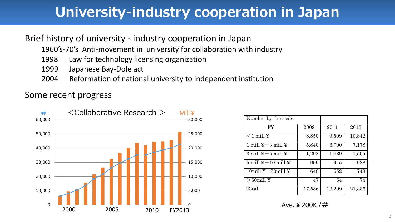### **University-industry cooperation in Japan**

#### Brief history of university - industry cooperation in Japan

1960's-70's Anti-movement in university for collaboration with industry

- 1998 Law for technology licensing organization
- 1999 Japanese Bay-Dole act
- 2004 Reformation of national university to independent institution

#### Some recent progress



| Number by the scale                           |        |        |        |
|-----------------------------------------------|--------|--------|--------|
| <b>FY</b>                                     | 2009   | 2011   | 2013   |
| $\leq$ 1 mill ¥                               | 8,850  | 9,509  | 10,842 |
| 1 mill $\yen -3$ mill $\yen$                  | 5,840  | 6,700  | 7,178  |
| 3 mill $\yen -5$ mill $\yen$                  | 1,292  | 1,439  | 1,505  |
| $5 \text{ mill } \yen -10 \text{ mill } \yen$ | 909    | 945    | 988    |
| $10$ mill ¥ - $50$ mill ¥                     | 648    | 652    | 749    |
| $>50$ mill ¥                                  | 47     | 54     | 74     |
| Total                                         | 17,586 | 19,299 | 21,336 |

Ave.  $4,200K/H$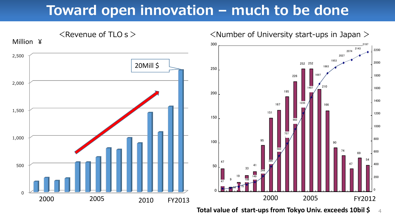### **Toward open innovation – much to be done**



 **Total value of start-ups from Tokyo Univ. exceeds 10bil \$**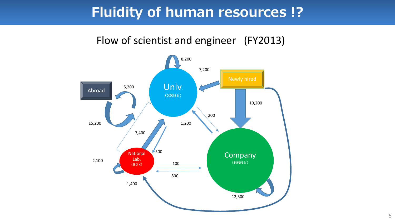### **Fluidity of human resources !?**

#### Flow of scientist and engineer (FY2013)

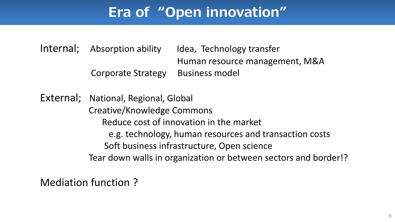## **Era of "Open innovation"**

Internal; Absorption ability Idea, Technology transfer Human resource management, M&A Corporate Strategy Business model

External; National, Regional, Global Creative/Knowledge Commons Reduce cost of innovation in the market e.g. technology, human resources and transaction costs Soft business infrastructure, Open science Tear down walls in organization or between sectors and border!?

Mediation function ?